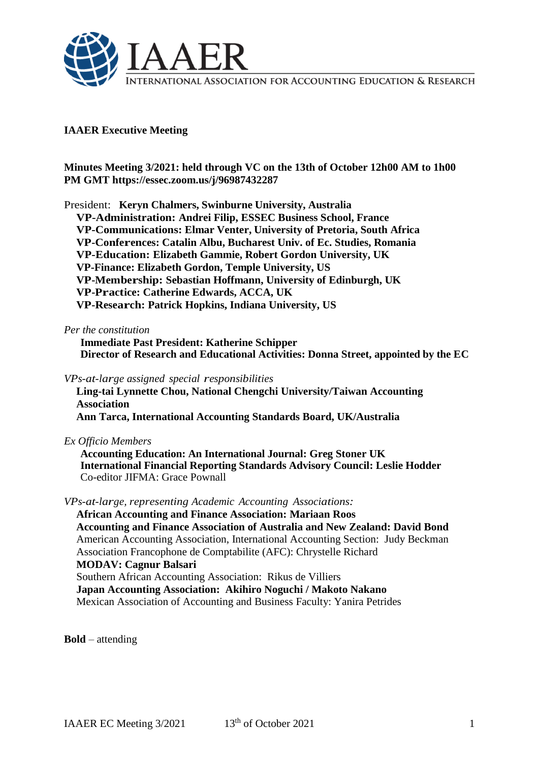

# **IAAER Executive Meeting**

**Minutes Meeting 3/2021: held through VC on the 13th of October 12h00 AM to 1h00 PM GMT https://essec.zoom.us/j/96987432287**

President: **Keryn Chalmers, Swinburne University, Australia VP-Administration: Andrei Filip, ESSEC Business School, France VP-Communications: Elmar Venter, University of Pretoria, South Africa VP-Conferences: Catalin Albu, Bucharest Univ. of Ec. Studies, Romania VP-Education: Elizabeth Gammie, Robert Gordon University, UK VP-Finance: Elizabeth Gordon, Temple University, US VP-Membership: Sebastian Hoffmann, University of Edinburgh, UK VP-Practice: Catherine Edwards, ACCA, UK VP-Research: Patrick Hopkins, Indiana University, US**

### *Per the constitution*

**Immediate Past President: Katherine Schipper Director of Research and Educational Activities: Donna Street, appointed by the EC**

*VPs-at-large assigned special responsibilities*

**Ling-tai Lynnette Chou, National Chengchi University/Taiwan Accounting Association**

**Ann Tarca, International Accounting Standards Board, UK/Australia**

*Ex Officio Members*

**Accounting Education: An International Journal: Greg Stoner UK International Financial Reporting Standards Advisory Council: Leslie Hodder** Co-editor JIFMA: Grace Pownall

*VPs-at-large, representing Academic Accounting Associations:*

**African Accounting and Finance Association: Mariaan Roos Accounting and Finance Association of Australia and New Zealand: David Bond** American Accounting Association, International Accounting Section: Judy Beckman Association Francophone de Comptabilite (AFC): Chrystelle Richard **MODAV: Cagnur Balsari**  Southern African Accounting Association: Rikus de Villiers **Japan Accounting Association: Akihiro Noguchi / Makoto Nakano**

Mexican Association of Accounting and Business Faculty: Yanira Petrides

**Bold** – attending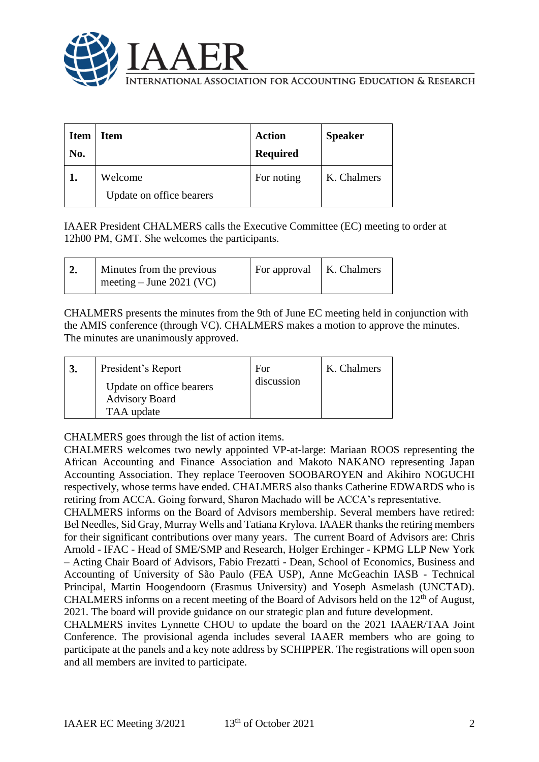

International Association for Accounting Education & Research

| <b>Item</b><br>No. | <b>Item</b>                         | <b>Action</b><br><b>Required</b> | <b>Speaker</b> |
|--------------------|-------------------------------------|----------------------------------|----------------|
|                    | Welcome<br>Update on office bearers | For noting                       | K. Chalmers    |

IAAER President CHALMERS calls the Executive Committee (EC) meeting to order at 12h00 PM, GMT. She welcomes the participants.

| Minutes from the previous<br>meeting – June 2021 (VC) | $\mid$ For approval $\mid$ K. Chalmers |  |
|-------------------------------------------------------|----------------------------------------|--|
|                                                       |                                        |  |

CHALMERS presents the minutes from the 9th of June EC meeting held in conjunction with the AMIS conference (through VC). CHALMERS makes a motion to approve the minutes. The minutes are unanimously approved.

|  | President's Report<br>Update on office bearers<br><b>Advisory Board</b><br>TAA update | For<br>discussion | K. Chalmers |
|--|---------------------------------------------------------------------------------------|-------------------|-------------|
|--|---------------------------------------------------------------------------------------|-------------------|-------------|

CHALMERS goes through the list of action items.

CHALMERS welcomes two newly appointed VP-at-large: Mariaan ROOS representing the African Accounting and Finance Association and Makoto NAKANO representing Japan Accounting Association. They replace Teerooven SOOBAROYEN and Akihiro NOGUCHI respectively, whose terms have ended. CHALMERS also thanks Catherine EDWARDS who is retiring from ACCA. Going forward, Sharon Machado will be ACCA's representative.

CHALMERS informs on the Board of Advisors membership. Several members have retired: Bel Needles, Sid Gray, Murray Wells and Tatiana Krylova. IAAER thanks the retiring members for their significant contributions over many years. The current Board of Advisors are: Chris Arnold - IFAC - Head of SME/SMP and Research, Holger Erchinger - KPMG LLP New York – Acting Chair Board of Advisors, Fabio Frezatti - Dean, School of Economics, Business and Accounting of University of São Paulo (FEA USP), Anne McGeachin IASB - Technical Principal, Martin Hoogendoorn (Erasmus University) and Yoseph Asmelash (UNCTAD). CHALMERS informs on a recent meeting of the Board of Advisors held on the  $12<sup>th</sup>$  of August, 2021. The board will provide guidance on our strategic plan and future development.

CHALMERS invites Lynnette CHOU to update the board on the 2021 IAAER/TAA Joint Conference. The provisional agenda includes several IAAER members who are going to participate at the panels and a key note address by SCHIPPER. The registrations will open soon and all members are invited to participate.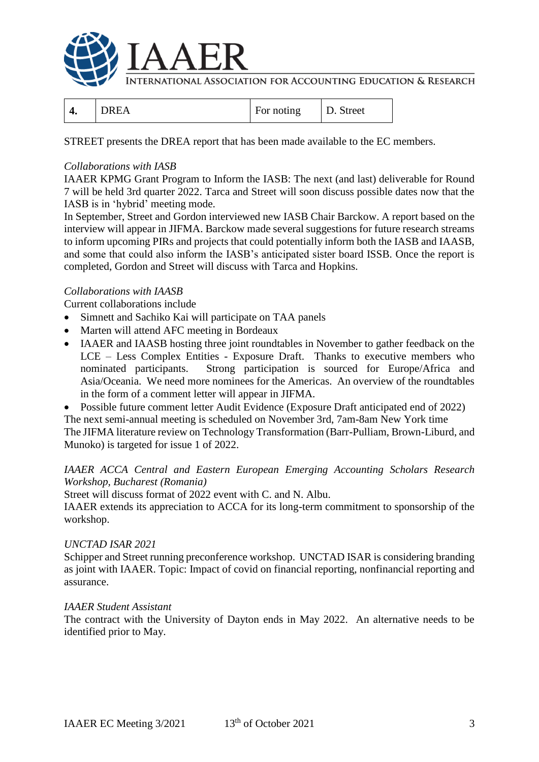

International Association for Accounting Education & Research

| $\overline{\phantom{0}}$<br>т. | ┳<br>For noting | reet<br>້<br><u>.</u> |
|--------------------------------|-----------------|-----------------------|
|--------------------------------|-----------------|-----------------------|

STREET presents the DREA report that has been made available to the EC members.

### *Collaborations with IASB*

IAAER KPMG Grant Program to Inform the IASB: The next (and last) deliverable for Round 7 will be held 3rd quarter 2022. Tarca and Street will soon discuss possible dates now that the IASB is in 'hybrid' meeting mode.

In September, Street and Gordon interviewed new IASB Chair Barckow. A report based on the interview will appear in JIFMA. Barckow made several suggestions for future research streams to inform upcoming PIRs and projects that could potentially inform both the IASB and IAASB, and some that could also inform the IASB's anticipated sister board ISSB. Once the report is completed, Gordon and Street will discuss with Tarca and Hopkins.

## *Collaborations with IAASB*

Current collaborations include

- Simnett and Sachiko Kai will participate on TAA panels
- Marten will attend AFC meeting in Bordeaux
- IAAER and IAASB hosting three joint roundtables in November to gather feedback on the LCE – Less Complex Entities - Exposure Draft. Thanks to executive members who nominated participants. Strong participation is sourced for Europe/Africa and Asia/Oceania. We need more nominees for the Americas. An overview of the roundtables in the form of a comment letter will appear in JIFMA.
- Possible future comment letter Audit Evidence (Exposure Draft anticipated end of 2022)

The next semi-annual meeting is scheduled on November 3rd, 7am-8am New York time

The JIFMA literature review on Technology Transformation (Barr-Pulliam, Brown-Liburd, and Munoko) is targeted for issue 1 of 2022.

### *IAAER ACCA Central and Eastern European Emerging Accounting Scholars Research Workshop, Bucharest (Romania)*

Street will discuss format of 2022 event with C. and N. Albu.

IAAER extends its appreciation to ACCA for its long-term commitment to sponsorship of the workshop.

### *UNCTAD ISAR 2021*

Schipper and Street running preconference workshop. UNCTAD ISAR is considering branding as joint with IAAER. Topic: Impact of covid on financial reporting, nonfinancial reporting and assurance.

### *IAAER Student Assistant*

The contract with the University of Dayton ends in May 2022. An alternative needs to be identified prior to May.